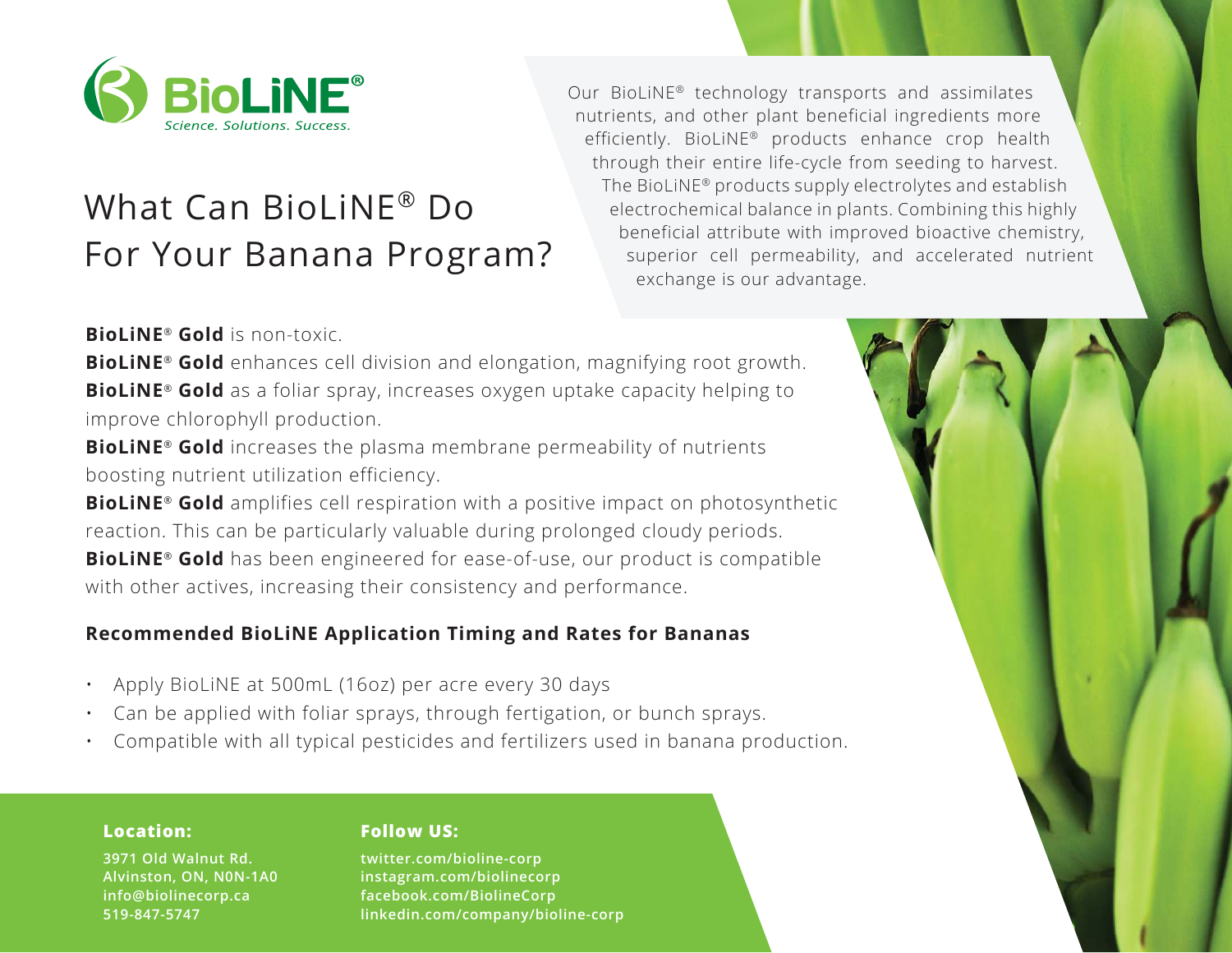

# What Can BioLiNE® Do For Your Banana Program?

Our BioLiNE® technology transports and assimilates nutrients, and other plant beneficial ingredients more efficiently. BioLiNE® products enhance crop health through their entire life-cycle from seeding to harvest. The BioLiNE® products supply electrolytes and establish electrochemical balance in plants. Combining this highly beneficial attribute with improved bioactive chemistry, superior cell permeability, and accelerated nutrient exchange is our advantage.

**BioLiNE**® **Gold** is non-toxic.

**BioLiNE**® **Gold** enhances cell division and elongation, magnifying root growth. **BioLiNE**® **Gold** as a foliar spray, increases oxygen uptake capacity helping to improve chlorophyll production.

**BioLiNE**® **Gold** increases the plasma membrane permeability of nutrients boosting nutrient utilization efficiency.

**BioLiNE**® **Gold** amplifies cell respiration with a positive impact on photosynthetic reaction. This can be particularly valuable during prolonged cloudy periods. **BioLiNE**® **Gold** has been engineered for ease-of-use, our product is compatible with other actives, increasing their consistency and performance.

## **Recommended BioLiNE Application Timing and Rates for Bananas**

- ï Apply BioLiNE at 500mL (16oz) per acre every 30 days
- Can be applied with foliar sprays, through fertigation, or bunch sprays.
- ï Compatible with all typical pesticides and fertilizers used in banana production.

## **Location:**

**3971 Old Walnut Rd. Alvinston, ON, N0N-1A0 info@biolinecorp.ca 519-847-5747**

## **Follow US:**

**twitter.com/bioline-corp instagram.com/biolinecorp facebook.com/BiolineCorp linkedin.com/company/bioline-corp**